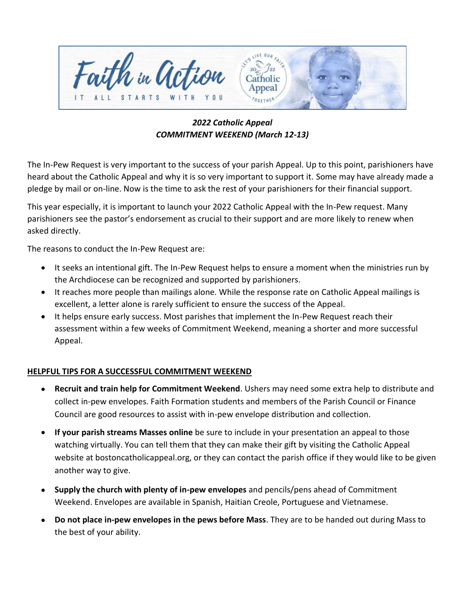

*2022 Catholic Appeal COMMITMENT WEEKEND (March 12-13)*

The In-Pew Request is very important to the success of your parish Appeal. Up to this point, parishioners have heard about the Catholic Appeal and why it is so very important to support it. Some may have already made a pledge by mail or on-line. Now is the time to ask the rest of your parishioners for their financial support.

This year especially, it is important to launch your 2022 Catholic Appeal with the In-Pew request. Many parishioners see the pastor's endorsement as crucial to their support and are more likely to renew when asked directly.

The reasons to conduct the In-Pew Request are:

- It seeks an intentional gift. The In-Pew Request helps to ensure a moment when the ministries run by the Archdiocese can be recognized and supported by parishioners.
- It reaches more people than mailings alone. While the response rate on Catholic Appeal mailings is excellent, a letter alone is rarely sufficient to ensure the success of the Appeal.
- It helps ensure early success. Most parishes that implement the In-Pew Request reach their assessment within a few weeks of Commitment Weekend, meaning a shorter and more successful Appeal.

## **HELPFUL TIPS FOR A SUCCESSFUL COMMITMENT WEEKEND**

- **Recruit and train help for Commitment Weekend**. Ushers may need some extra help to distribute and collect in-pew envelopes. Faith Formation students and members of the Parish Council or Finance Council are good resources to assist with in-pew envelope distribution and collection.
- **If your parish streams Masses online** be sure to include in your presentation an appeal to those watching virtually. You can tell them that they can make their gift by visiting the Catholic Appeal website at bostoncatholicappeal.org, or they can contact the parish office if they would like to be given another way to give.
- **Supply the church with plenty of in-pew envelopes** and pencils/pens ahead of Commitment Weekend. Envelopes are available in Spanish, Haitian Creole, Portuguese and Vietnamese.
- **Do not place in-pew envelopes in the pews before Mass**. They are to be handed out during Mass to the best of your ability.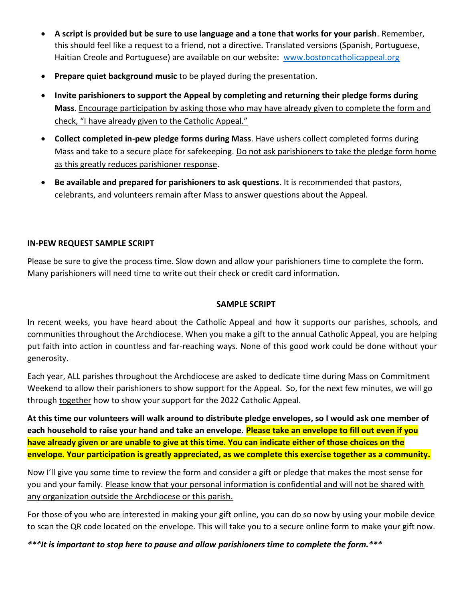- **A script is provided but be sure to use language and a tone that works for your parish**. Remember, this should feel like a request to a friend, not a directive. Translated versions (Spanish, Portuguese, Haitian Creole and Portuguese) are available on our website: [www.bostoncatholicappeal.org](http://www.bostoncatholicappeal.org/)
- **Prepare quiet background music** to be played during the presentation.
- **Invite parishioners to support the Appeal by completing and returning their pledge forms during Mass**. Encourage participation by asking those who may have already given to complete the form and check, "I have already given to the Catholic Appeal."
- **Collect completed in-pew pledge forms during Mass**. Have ushers collect completed forms during Mass and take to a secure place for safekeeping. Do not ask parishioners to take the pledge form home as this greatly reduces parishioner response.
- **Be available and prepared for parishioners to ask questions**. It is recommended that pastors, celebrants, and volunteers remain after Mass to answer questions about the Appeal.

### **IN-PEW REQUEST SAMPLE SCRIPT**

Please be sure to give the process time. Slow down and allow your parishioners time to complete the form. Many parishioners will need time to write out their check or credit card information.

#### **SAMPLE SCRIPT**

**I**n recent weeks, you have heard about the Catholic Appeal and how it supports our parishes, schools, and communities throughout the Archdiocese. When you make a gift to the annual Catholic Appeal, you are helping put faith into action in countless and far-reaching ways. None of this good work could be done without your generosity.

Each year, ALL parishes throughout the Archdiocese are asked to dedicate time during Mass on Commitment Weekend to allow their parishioners to show support for the Appeal. So, for the next few minutes, we will go through together how to show your support for the 2022 Catholic Appeal.

**At this time our volunteers will walk around to distribute pledge envelopes, so I would ask one member of each household to raise your hand and take an envelope. Please take an envelope to fill out even if you have already given or are unable to give at this time. You can indicate either of those choices on the envelope. Your participation is greatly appreciated, as we complete this exercise together as a community.** 

Now I'll give you some time to review the form and consider a gift or pledge that makes the most sense for you and your family. Please know that your personal information is confidential and will not be shared with any organization outside the Archdiocese or this parish.

For those of you who are interested in making your gift online, you can do so now by using your mobile device to scan the QR code located on the envelope. This will take you to a secure online form to make your gift now.

*\*\*\*It is important to stop here to pause and allow parishioners time to complete the form.\*\*\**